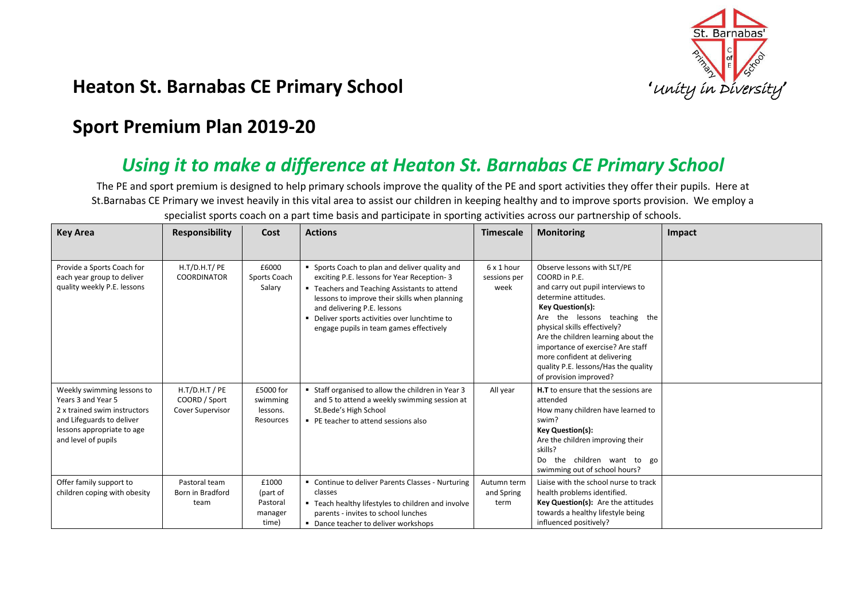

## **Heaton St. Barnabas CE Primary School** *intersity in Diversity* **in Diversity** *in Diversity*

## **Sport Premium Plan 2019-20**

## *Using it to make a difference at Heaton St. Barnabas CE Primary School*

The PE and sport premium is designed to help primary schools improve the quality of the PE and sport activities they offer their pupils. Here at St.Barnabas CE Primary we invest heavily in this vital area to assist our children in keeping healthy and to improve sports provision. We employ a

| <b>Key Area</b>                                                                                                                                                    | <b>Responsibility</b>                                        | Cost                                              | <b>Actions</b>                                                                                                                                                                                                                                                                                                         | <b>Timescale</b>                   | <b>Monitoring</b>                                                                                                                                                                                                                                                                                                                                                                  | Impact |
|--------------------------------------------------------------------------------------------------------------------------------------------------------------------|--------------------------------------------------------------|---------------------------------------------------|------------------------------------------------------------------------------------------------------------------------------------------------------------------------------------------------------------------------------------------------------------------------------------------------------------------------|------------------------------------|------------------------------------------------------------------------------------------------------------------------------------------------------------------------------------------------------------------------------------------------------------------------------------------------------------------------------------------------------------------------------------|--------|
|                                                                                                                                                                    |                                                              |                                                   |                                                                                                                                                                                                                                                                                                                        |                                    |                                                                                                                                                                                                                                                                                                                                                                                    |        |
| Provide a Sports Coach for<br>each year group to deliver<br>quality weekly P.E. lessons                                                                            | H.T/D.H.T/PE<br><b>COORDINATOR</b>                           | £6000<br>Sports Coach<br>Salary                   | " Sports Coach to plan and deliver quality and<br>exciting P.E. lessons for Year Reception-3<br>" Teachers and Teaching Assistants to attend<br>lessons to improve their skills when planning<br>and delivering P.E. lessons<br>Deliver sports activities over lunchtime to<br>engage pupils in team games effectively | 6 x 1 hour<br>sessions per<br>week | Observe lessons with SLT/PE<br>COORD in P.E.<br>and carry out pupil interviews to<br>determine attitudes.<br><b>Key Question(s):</b><br>Are the lessons teaching the<br>physical skills effectively?<br>Are the children learning about the<br>importance of exercise? Are staff<br>more confident at delivering<br>quality P.E. lessons/Has the quality<br>of provision improved? |        |
| Weekly swimming lessons to<br>Years 3 and Year 5<br>2 x trained swim instructors<br>and Lifeguards to deliver<br>lessons appropriate to age<br>and level of pupils | $H.T/D.H.T$ / PE<br>COORD / Sport<br><b>Cover Supervisor</b> | £5000 for<br>swimming<br>lessons.<br>Resources    | Staff organised to allow the children in Year 3<br>and 5 to attend a weekly swimming session at<br>St.Bede's High School<br>PE teacher to attend sessions also                                                                                                                                                         | All year                           | <b>H.T</b> to ensure that the sessions are<br>attended<br>How many children have learned to<br>swim?<br><b>Key Question(s):</b><br>Are the children improving their<br>skills?<br>Do<br>the children want to go<br>swimming out of school hours?                                                                                                                                   |        |
| Offer family support to<br>children coping with obesity                                                                                                            | Pastoral team<br>Born in Bradford<br>team                    | £1000<br>(part of<br>Pastoral<br>manager<br>time) | • Continue to deliver Parents Classes - Nurturing<br>classes<br>■ Teach healthy lifestyles to children and involve<br>parents - invites to school lunches<br>• Dance teacher to deliver workshops                                                                                                                      | Autumn term<br>and Spring<br>term  | Liaise with the school nurse to track<br>health problems identified.<br>Key Question(s): Are the attitudes<br>towards a healthy lifestyle being<br>influenced positively?                                                                                                                                                                                                          |        |

specialist sports coach on a part time basis and participate in sporting activities across our partnership of schools.